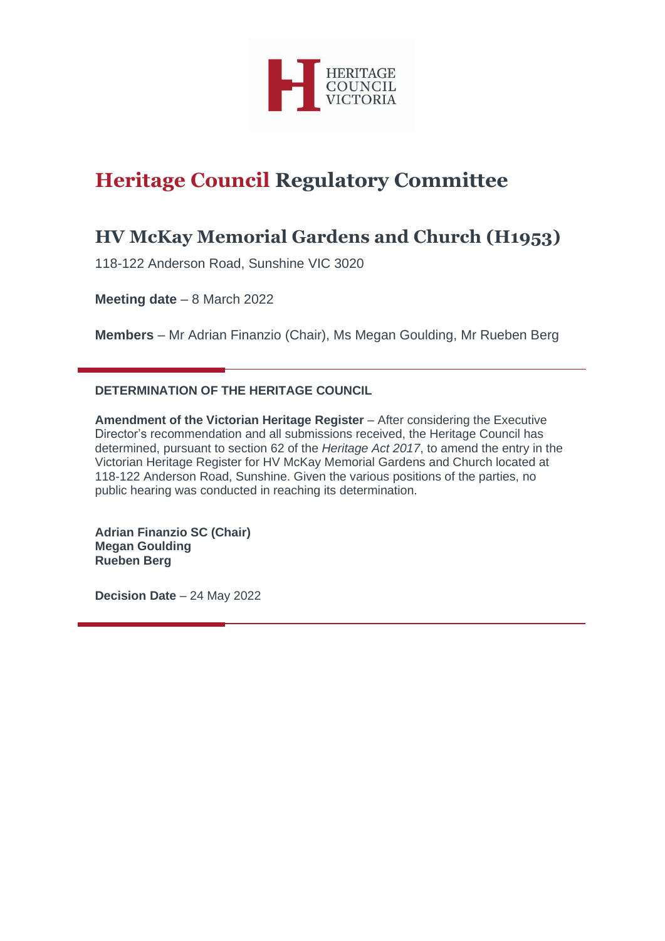

# **Heritage Council Regulatory Committee**

# **HV McKay Memorial Gardens and Church (H1953)**

118-122 Anderson Road, Sunshine VIC 3020

**Meeting date** – 8 March 2022

**Members** – Mr Adrian Finanzio (Chair), Ms Megan Goulding, Mr Rueben Berg

# **DETERMINATION OF THE HERITAGE COUNCIL**

**Amendment of the Victorian Heritage Register** – After considering the Executive Director's recommendation and all submissions received, the Heritage Council has determined, pursuant to section 62 of the *Heritage Act 2017*, to amend the entry in the Victorian Heritage Register for HV McKay Memorial Gardens and Church located at 118-122 Anderson Road, Sunshine. Given the various positions of the parties, no public hearing was conducted in reaching its determination.

**Adrian Finanzio SC (Chair) Megan Goulding Rueben Berg**

**Decision Date** – 24 May 2022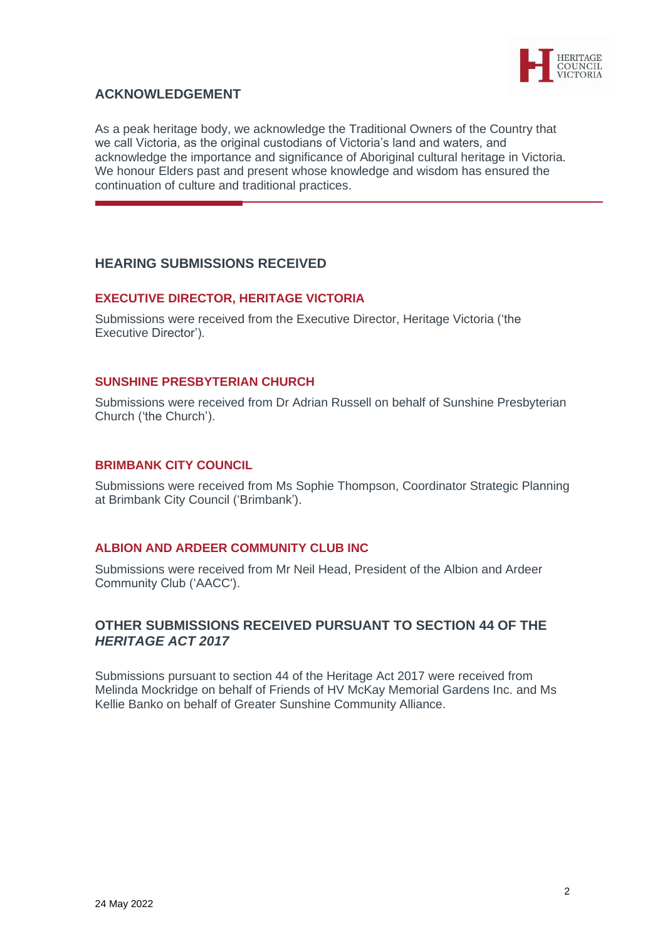

# **ACKNOWLEDGEMENT**

As a peak heritage body, we acknowledge the Traditional Owners of the Country that we call Victoria, as the original custodians of Victoria's land and waters, and acknowledge the importance and significance of Aboriginal cultural heritage in Victoria. We honour Elders past and present whose knowledge and wisdom has ensured the continuation of culture and traditional practices.

## **HEARING SUBMISSIONS RECEIVED**

## **EXECUTIVE DIRECTOR, HERITAGE VICTORIA**

Submissions were received from the Executive Director, Heritage Victoria ('the Executive Director').

## **SUNSHINE PRESBYTERIAN CHURCH**

Submissions were received from Dr Adrian Russell on behalf of Sunshine Presbyterian Church ('the Church').

## **BRIMBANK CITY COUNCIL**

Submissions were received from Ms Sophie Thompson, Coordinator Strategic Planning at Brimbank City Council ('Brimbank').

## **ALBION AND ARDEER COMMUNITY CLUB INC**

Submissions were received from Mr Neil Head, President of the Albion and Ardeer Community Club ('AACC').

## **OTHER SUBMISSIONS RECEIVED PURSUANT TO SECTION 44 OF THE**  *HERITAGE ACT 2017*

Submissions pursuant to section 44 of the Heritage Act 2017 were received from Melinda Mockridge on behalf of Friends of HV McKay Memorial Gardens Inc. and Ms Kellie Banko on behalf of Greater Sunshine Community Alliance.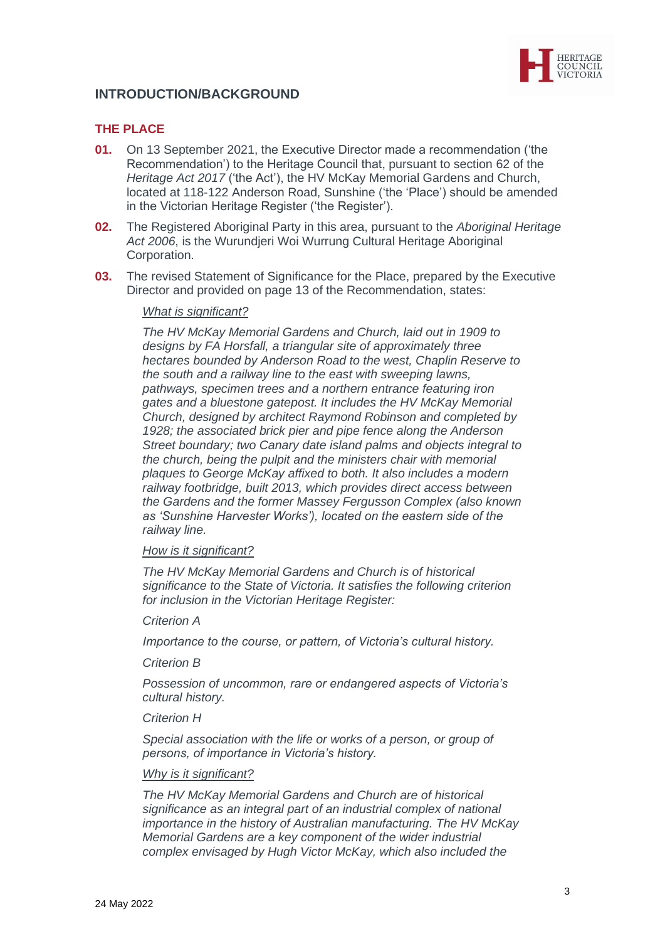

# **INTRODUCTION/BACKGROUND**

## **THE PLACE**

- **01.** On 13 September 2021, the Executive Director made a recommendation ('the Recommendation') to the Heritage Council that, pursuant to section 62 of the *Heritage Act 2017* ('the Act'), the HV McKay Memorial Gardens and Church, located at 118-122 Anderson Road, Sunshine ('the 'Place') should be amended in the Victorian Heritage Register ('the Register').
- **02.** The Registered Aboriginal Party in this area, pursuant to the *Aboriginal Heritage Act 2006*, is the Wurundjeri Woi Wurrung Cultural Heritage Aboriginal Corporation.
- **03.** The revised Statement of Significance for the Place, prepared by the Executive Director and provided on page 13 of the Recommendation, states:

#### *What is significant?*

*The HV McKay Memorial Gardens and Church, laid out in 1909 to designs by FA Horsfall, a triangular site of approximately three hectares bounded by Anderson Road to the west, Chaplin Reserve to the south and a railway line to the east with sweeping lawns, pathways, specimen trees and a northern entrance featuring iron gates and a bluestone gatepost. It includes the HV McKay Memorial Church, designed by architect Raymond Robinson and completed by 1928; the associated brick pier and pipe fence along the Anderson Street boundary; two Canary date island palms and objects integral to the church, being the pulpit and the ministers chair with memorial plaques to George McKay affixed to both. It also includes a modern railway footbridge, built 2013, which provides direct access between the Gardens and the former Massey Fergusson Complex (also known as 'Sunshine Harvester Works'), located on the eastern side of the railway line.* 

## *How is it significant?*

*The HV McKay Memorial Gardens and Church is of historical significance to the State of Victoria. It satisfies the following criterion for inclusion in the Victorian Heritage Register:*

*Criterion A*

*Importance to the course, or pattern, of Victoria's cultural history.*

*Criterion B*

*Possession of uncommon, rare or endangered aspects of Victoria's cultural history.*

*Criterion H*

*Special association with the life or works of a person, or group of persons, of importance in Victoria's history.*

#### *Why is it significant?*

*The HV McKay Memorial Gardens and Church are of historical significance as an integral part of an industrial complex of national importance in the history of Australian manufacturing. The HV McKay Memorial Gardens are a key component of the wider industrial complex envisaged by Hugh Victor McKay, which also included the*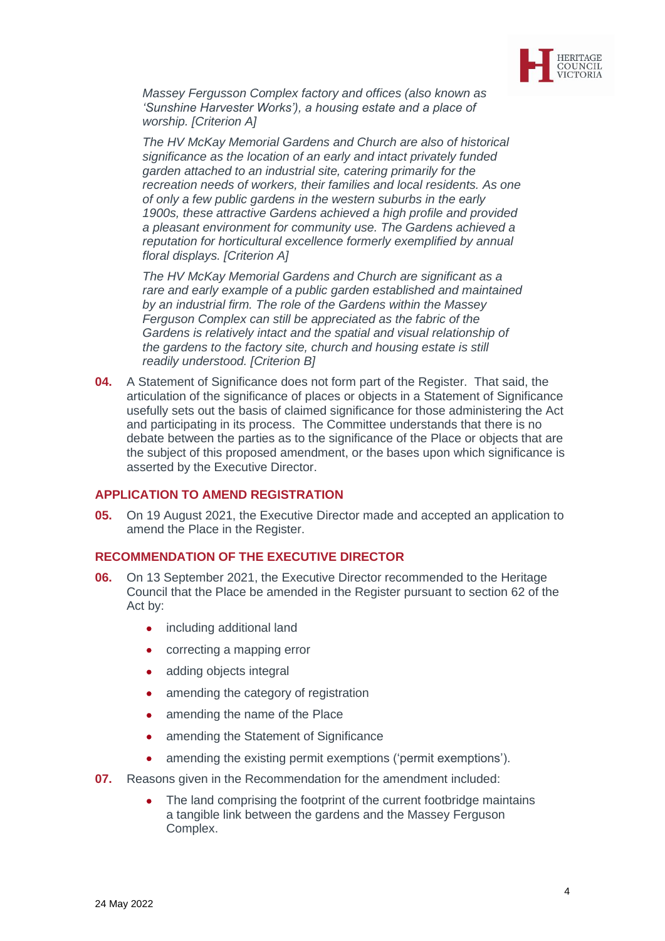

*Massey Fergusson Complex factory and offices (also known as 'Sunshine Harvester Works'), a housing estate and a place of worship. [Criterion A]*

*The HV McKay Memorial Gardens and Church are also of historical significance as the location of an early and intact privately funded garden attached to an industrial site, catering primarily for the recreation needs of workers, their families and local residents. As one of only a few public gardens in the western suburbs in the early 1900s, these attractive Gardens achieved a high profile and provided a pleasant environment for community use. The Gardens achieved a reputation for horticultural excellence formerly exemplified by annual floral displays. [Criterion A]*

*The HV McKay Memorial Gardens and Church are significant as a rare and early example of a public garden established and maintained by an industrial firm. The role of the Gardens within the Massey Ferguson Complex can still be appreciated as the fabric of the Gardens is relatively intact and the spatial and visual relationship of the gardens to the factory site, church and housing estate is still readily understood. [Criterion B]*

**04.** A Statement of Significance does not form part of the Register. That said, the articulation of the significance of places or objects in a Statement of Significance usefully sets out the basis of claimed significance for those administering the Act and participating in its process. The Committee understands that there is no debate between the parties as to the significance of the Place or objects that are the subject of this proposed amendment, or the bases upon which significance is asserted by the Executive Director.

#### **APPLICATION TO AMEND REGISTRATION**

**05.** On 19 August 2021, the Executive Director made and accepted an application to amend the Place in the Register.

#### **RECOMMENDATION OF THE EXECUTIVE DIRECTOR**

- **06.** On 13 September 2021, the Executive Director recommended to the Heritage Council that the Place be amended in the Register pursuant to section 62 of the Act by:
	- including additional land
	- correcting a mapping error
	- adding objects integral
	- amending the category of registration
	- amending the name of the Place
	- amending the Statement of Significance
	- amending the existing permit exemptions ('permit exemptions').
- **07.** Reasons given in the Recommendation for the amendment included:
	- The land comprising the footprint of the current footbridge maintains a tangible link between the gardens and the Massey Ferguson Complex.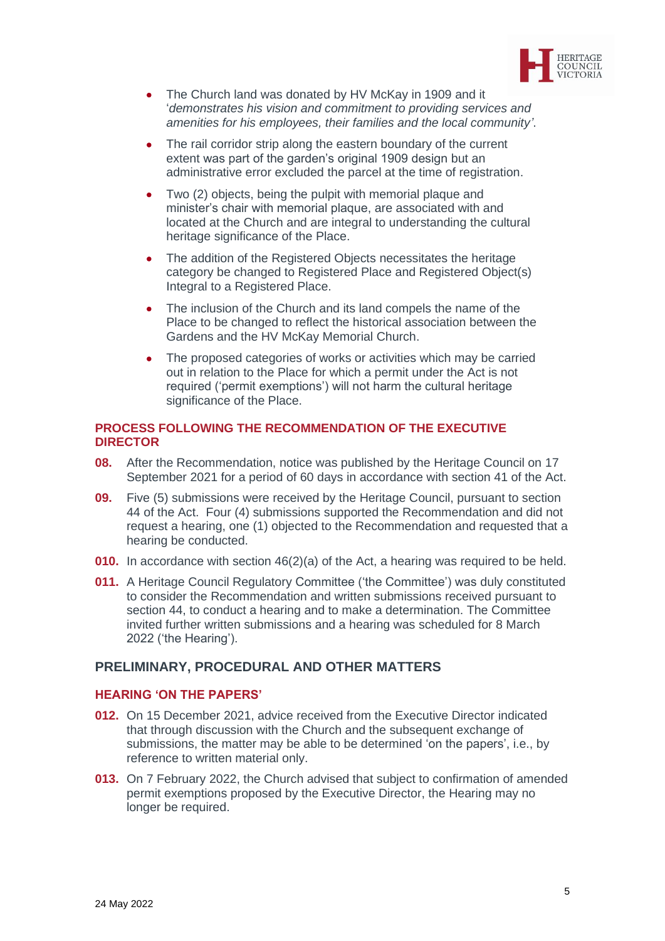

- The Church land was donated by HV McKay in 1909 and it '*demonstrates his vision and commitment to providing services and amenities for his employees, their families and the local community'*.
- The rail corridor strip along the eastern boundary of the current extent was part of the garden's original 1909 design but an administrative error excluded the parcel at the time of registration.
- Two (2) objects, being the pulpit with memorial plaque and minister's chair with memorial plaque, are associated with and located at the Church and are integral to understanding the cultural heritage significance of the Place.
- The addition of the Registered Objects necessitates the heritage category be changed to Registered Place and Registered Object(s) Integral to a Registered Place.
- The inclusion of the Church and its land compels the name of the Place to be changed to reflect the historical association between the Gardens and the HV McKay Memorial Church.
- The proposed categories of works or activities which may be carried out in relation to the Place for which a permit under the Act is not required ('permit exemptions') will not harm the cultural heritage significance of the Place.

## **PROCESS FOLLOWING THE RECOMMENDATION OF THE EXECUTIVE DIRECTOR**

- **08.** After the Recommendation, notice was published by the Heritage Council on 17 September 2021 for a period of 60 days in accordance with section 41 of the Act.
- **09.** Five (5) submissions were received by the Heritage Council, pursuant to section 44 of the Act. Four (4) submissions supported the Recommendation and did not request a hearing, one (1) objected to the Recommendation and requested that a hearing be conducted.
- **010.** In accordance with section 46(2)(a) of the Act, a hearing was required to be held.
- **011.** A Heritage Council Regulatory Committee ('the Committee') was duly constituted to consider the Recommendation and written submissions received pursuant to section 44, to conduct a hearing and to make a determination. The Committee invited further written submissions and a hearing was scheduled for 8 March 2022 ('the Hearing').

# **PRELIMINARY, PROCEDURAL AND OTHER MATTERS**

#### **HEARING 'ON THE PAPERS'**

- **012.** On 15 December 2021, advice received from the Executive Director indicated that through discussion with the Church and the subsequent exchange of submissions, the matter may be able to be determined 'on the papers', i.e., by reference to written material only.
- **013.** On 7 February 2022, the Church advised that subject to confirmation of amended permit exemptions proposed by the Executive Director, the Hearing may no longer be required.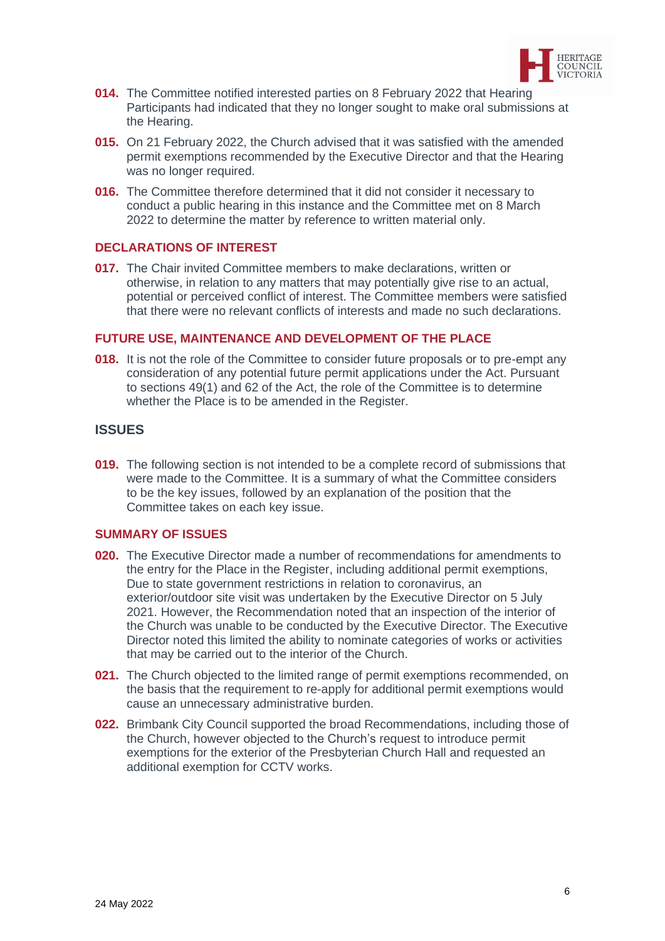

- **014.** The Committee notified interested parties on 8 February 2022 that Hearing Participants had indicated that they no longer sought to make oral submissions at the Hearing.
- **015.** On 21 February 2022, the Church advised that it was satisfied with the amended permit exemptions recommended by the Executive Director and that the Hearing was no longer required.
- **016.** The Committee therefore determined that it did not consider it necessary to conduct a public hearing in this instance and the Committee met on 8 March 2022 to determine the matter by reference to written material only.

## **DECLARATIONS OF INTEREST**

**017.** The Chair invited Committee members to make declarations, written or otherwise, in relation to any matters that may potentially give rise to an actual, potential or perceived conflict of interest. The Committee members were satisfied that there were no relevant conflicts of interests and made no such declarations.

#### **FUTURE USE, MAINTENANCE AND DEVELOPMENT OF THE PLACE**

**018.** It is not the role of the Committee to consider future proposals or to pre-empt any consideration of any potential future permit applications under the Act. Pursuant to sections 49(1) and 62 of the Act, the role of the Committee is to determine whether the Place is to be amended in the Register.

## **ISSUES**

**019.** The following section is not intended to be a complete record of submissions that were made to the Committee. It is a summary of what the Committee considers to be the key issues, followed by an explanation of the position that the Committee takes on each key issue.

## **SUMMARY OF ISSUES**

- **020.** The Executive Director made a number of recommendations for amendments to the entry for the Place in the Register, including additional permit exemptions, Due to state government restrictions in relation to coronavirus, an exterior/outdoor site visit was undertaken by the Executive Director on 5 July 2021. However, the Recommendation noted that an inspection of the interior of the Church was unable to be conducted by the Executive Director. The Executive Director noted this limited the ability to nominate categories of works or activities that may be carried out to the interior of the Church.
- **021.** The Church objected to the limited range of permit exemptions recommended, on the basis that the requirement to re-apply for additional permit exemptions would cause an unnecessary administrative burden.
- **022.** Brimbank City Council supported the broad Recommendations, including those of the Church, however objected to the Church's request to introduce permit exemptions for the exterior of the Presbyterian Church Hall and requested an additional exemption for CCTV works.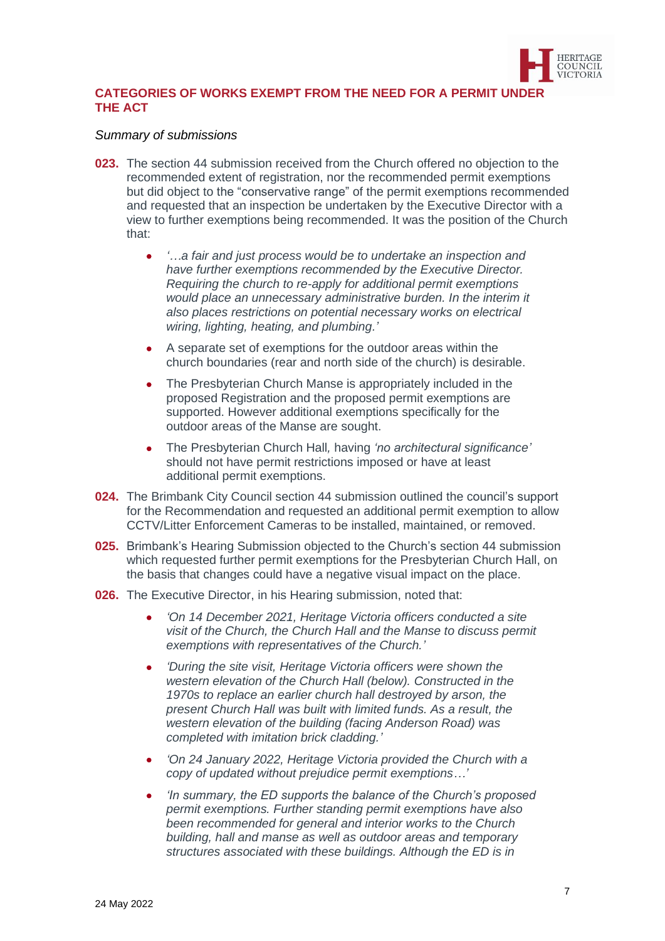

## **CATEGORIES OF WORKS EXEMPT FROM THE NEED FOR A PERMIT UNDER THE ACT**

#### *Summary of submissions*

- **023.** The section 44 submission received from the Church offered no objection to the recommended extent of registration, nor the recommended permit exemptions but did object to the "conservative range" of the permit exemptions recommended and requested that an inspection be undertaken by the Executive Director with a view to further exemptions being recommended. It was the position of the Church that:
	- *'…a fair and just process would be to undertake an inspection and have further exemptions recommended by the Executive Director. Requiring the church to re-apply for additional permit exemptions would place an unnecessary administrative burden. In the interim it also places restrictions on potential necessary works on electrical wiring, lighting, heating, and plumbing.'*
	- A separate set of exemptions for the outdoor areas within the church boundaries (rear and north side of the church) is desirable.
	- The Presbyterian Church Manse is appropriately included in the proposed Registration and the proposed permit exemptions are supported. However additional exemptions specifically for the outdoor areas of the Manse are sought.
	- The Presbyterian Church Hall*,* having *'no architectural significance'* should not have permit restrictions imposed or have at least additional permit exemptions.
- **024.** The Brimbank City Council section 44 submission outlined the council's support for the Recommendation and requested an additional permit exemption to allow CCTV/Litter Enforcement Cameras to be installed, maintained, or removed.
- **025.** Brimbank's Hearing Submission objected to the Church's section 44 submission which requested further permit exemptions for the Presbyterian Church Hall, on the basis that changes could have a negative visual impact on the place.
- **026.** The Executive Director, in his Hearing submission, noted that:
	- *'On 14 December 2021, Heritage Victoria officers conducted a site visit of the Church, the Church Hall and the Manse to discuss permit exemptions with representatives of the Church.'*
	- *'During the site visit, Heritage Victoria officers were shown the western elevation of the Church Hall (below). Constructed in the 1970s to replace an earlier church hall destroyed by arson, the present Church Hall was built with limited funds. As a result, the western elevation of the building (facing Anderson Road) was completed with imitation brick cladding.'*
	- *'On 24 January 2022, Heritage Victoria provided the Church with a copy of updated without prejudice permit exemptions…'*
	- *'In summary, the ED supports the balance of the Church's proposed permit exemptions. Further standing permit exemptions have also been recommended for general and interior works to the Church building, hall and manse as well as outdoor areas and temporary structures associated with these buildings. Although the ED is in*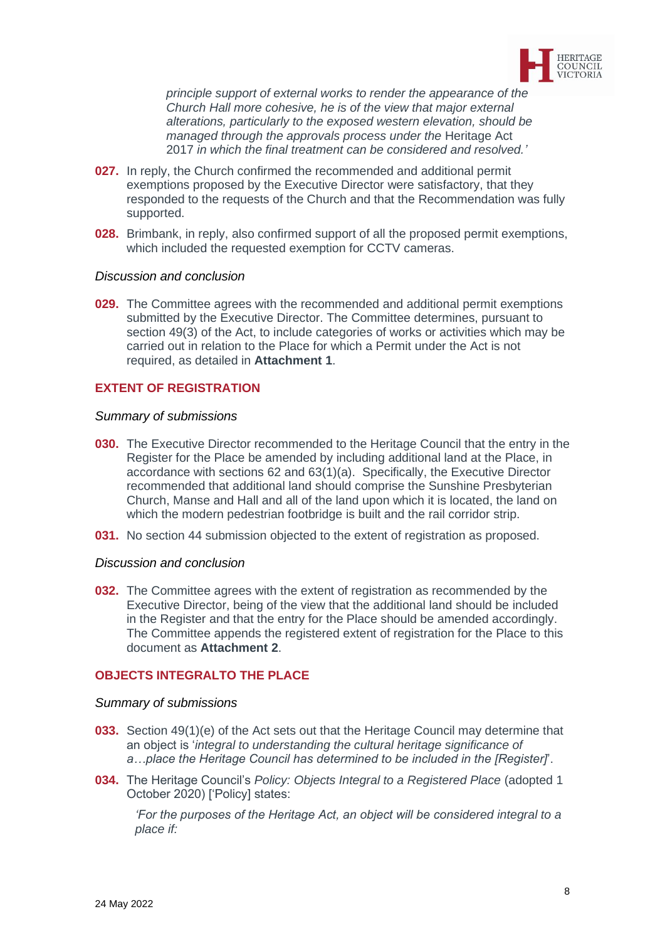

*principle support of external works to render the appearance of the Church Hall more cohesive, he is of the view that major external alterations, particularly to the exposed western elevation, should be managed through the approvals process under the* Heritage Act 2017 *in which the final treatment can be considered and resolved.'*

- **027.** In reply, the Church confirmed the recommended and additional permit exemptions proposed by the Executive Director were satisfactory, that they responded to the requests of the Church and that the Recommendation was fully supported.
- **028.** Brimbank, in reply, also confirmed support of all the proposed permit exemptions, which included the requested exemption for CCTV cameras.

#### *Discussion and conclusion*

**029.** The Committee agrees with the recommended and additional permit exemptions submitted by the Executive Director. The Committee determines, pursuant to section 49(3) of the Act, to include categories of works or activities which may be carried out in relation to the Place for which a Permit under the Act is not required, as detailed in **Attachment 1**.

## **EXTENT OF REGISTRATION**

#### *Summary of submissions*

- **030.** The Executive Director recommended to the Heritage Council that the entry in the Register for the Place be amended by including additional land at the Place, in accordance with sections 62 and 63(1)(a). Specifically, the Executive Director recommended that additional land should comprise the Sunshine Presbyterian Church, Manse and Hall and all of the land upon which it is located, the land on which the modern pedestrian footbridge is built and the rail corridor strip.
- **031.** No section 44 submission objected to the extent of registration as proposed.

#### *Discussion and conclusion*

**032.** The Committee agrees with the extent of registration as recommended by the Executive Director, being of the view that the additional land should be included in the Register and that the entry for the Place should be amended accordingly. The Committee appends the registered extent of registration for the Place to this document as **Attachment 2**.

#### **OBJECTS INTEGRALTO THE PLACE**

#### *Summary of submissions*

- **033.** Section 49(1)(e) of the Act sets out that the Heritage Council may determine that an object is '*integral to understanding the cultural heritage significance of a…place the Heritage Council has determined to be included in the [Register]*'.
- **034.** The Heritage Council's *Policy: Objects Integral to a Registered Place* (adopted 1 October 2020) ['Policy] states:

*'For the purposes of the Heritage Act, an object will be considered integral to a place if:*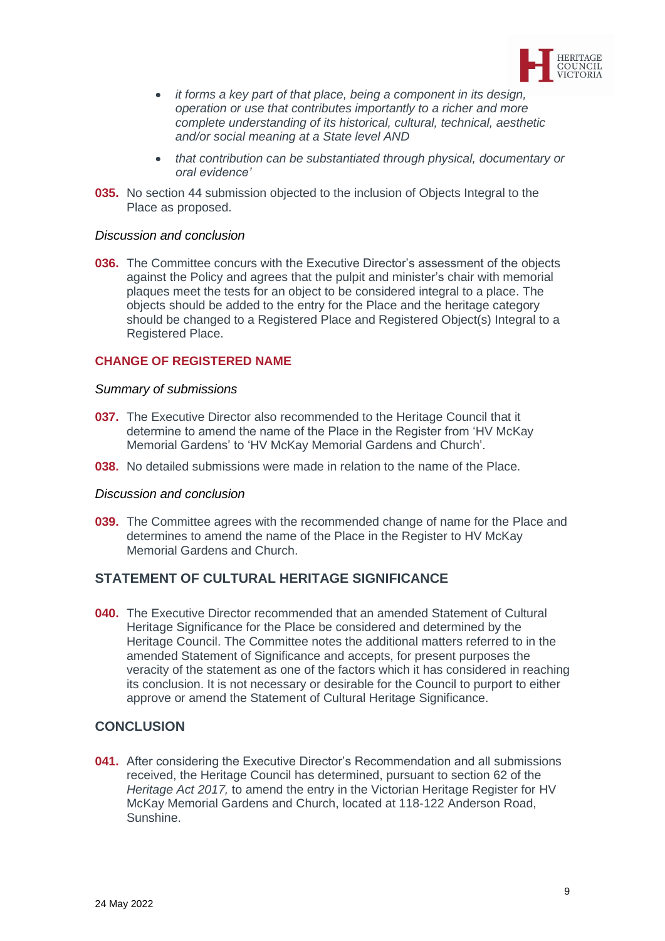

- *it forms a key part of that place, being a component in its design, operation or use that contributes importantly to a richer and more complete understanding of its historical, cultural, technical, aesthetic and/or social meaning at a State level AND*
- *that contribution can be substantiated through physical, documentary or oral evidence'*
- **035.** No section 44 submission objected to the inclusion of Objects Integral to the Place as proposed.

#### *Discussion and conclusion*

**036.** The Committee concurs with the Executive Director's assessment of the objects against the Policy and agrees that the pulpit and minister's chair with memorial plaques meet the tests for an object to be considered integral to a place. The objects should be added to the entry for the Place and the heritage category should be changed to a Registered Place and Registered Object(s) Integral to a Registered Place.

#### **CHANGE OF REGISTERED NAME**

#### *Summary of submissions*

- **037.** The Executive Director also recommended to the Heritage Council that it determine to amend the name of the Place in the Register from 'HV McKay Memorial Gardens' to 'HV McKay Memorial Gardens and Church'.
- **038.** No detailed submissions were made in relation to the name of the Place.

#### *Discussion and conclusion*

**039.** The Committee agrees with the recommended change of name for the Place and determines to amend the name of the Place in the Register to HV McKay Memorial Gardens and Church.

## **STATEMENT OF CULTURAL HERITAGE SIGNIFICANCE**

**040.** The Executive Director recommended that an amended Statement of Cultural Heritage Significance for the Place be considered and determined by the Heritage Council. The Committee notes the additional matters referred to in the amended Statement of Significance and accepts, for present purposes the veracity of the statement as one of the factors which it has considered in reaching its conclusion. It is not necessary or desirable for the Council to purport to either approve or amend the Statement of Cultural Heritage Significance.

#### **CONCLUSION**

**041.** After considering the Executive Director's Recommendation and all submissions received, the Heritage Council has determined, pursuant to section 62 of the *Heritage Act 2017,* to amend the entry in the Victorian Heritage Register for HV McKay Memorial Gardens and Church, located at 118-122 Anderson Road, Sunshine.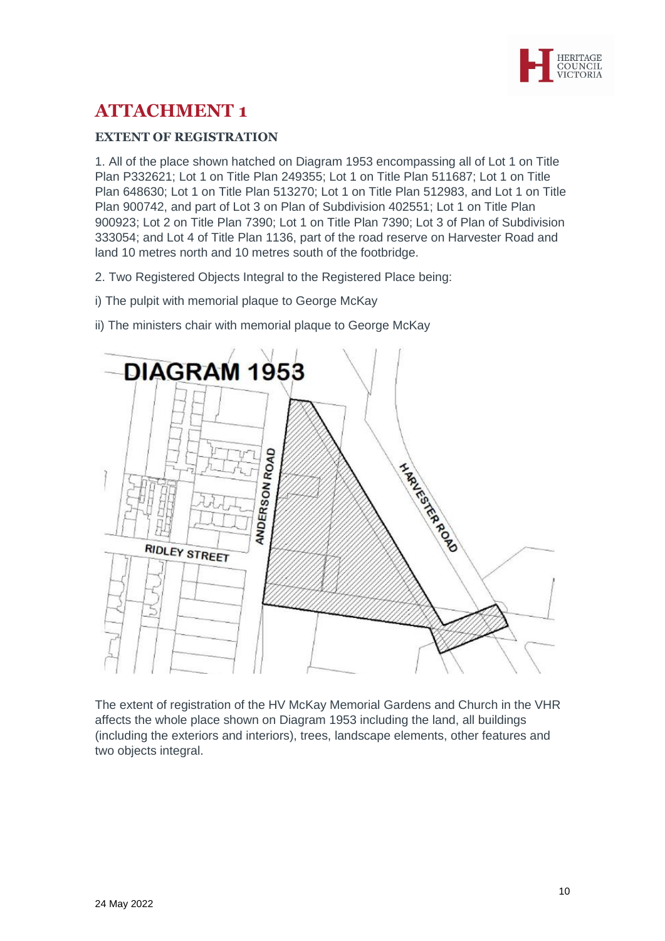

# **ATTACHMENT 1**

# **EXTENT OF REGISTRATION**

1. All of the place shown hatched on Diagram 1953 encompassing all of Lot 1 on Title Plan P332621; Lot 1 on Title Plan 249355; Lot 1 on Title Plan 511687; Lot 1 on Title Plan 648630; Lot 1 on Title Plan 513270; Lot 1 on Title Plan 512983, and Lot 1 on Title Plan 900742, and part of Lot 3 on Plan of Subdivision 402551; Lot 1 on Title Plan 900923; Lot 2 on Title Plan 7390; Lot 1 on Title Plan 7390; Lot 3 of Plan of Subdivision 333054; and Lot 4 of Title Plan 1136, part of the road reserve on Harvester Road and land 10 metres north and 10 metres south of the footbridge.

- 2. Two Registered Objects Integral to the Registered Place being:
- i) The pulpit with memorial plaque to George McKay
- ii) The ministers chair with memorial plaque to George McKay



The extent of registration of the HV McKay Memorial Gardens and Church in the VHR affects the whole place shown on Diagram 1953 including the land, all buildings (including the exteriors and interiors), trees, landscape elements, other features and two objects integral.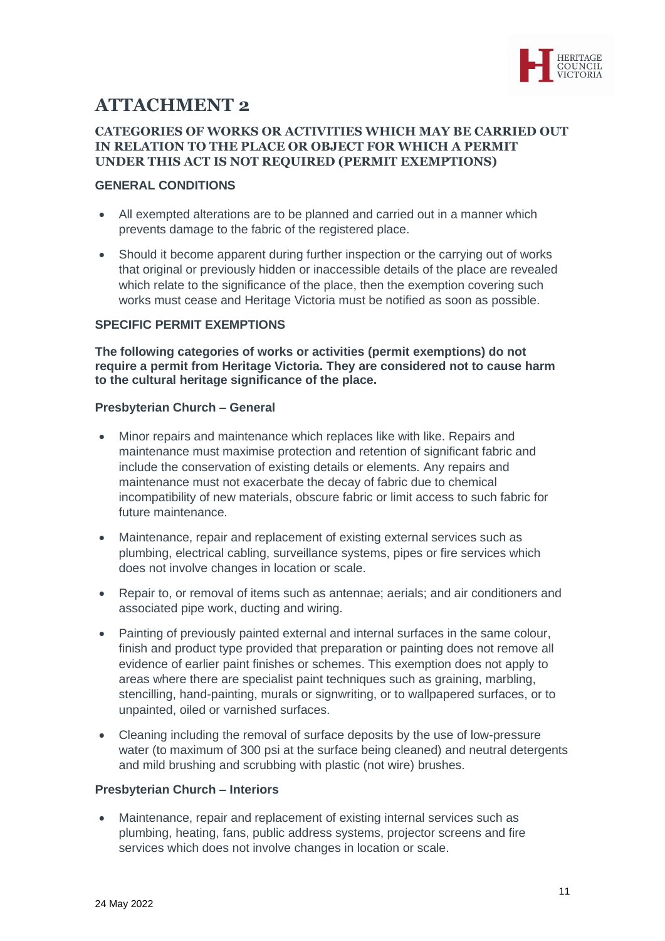

# **ATTACHMENT 2**

## **CATEGORIES OF WORKS OR ACTIVITIES WHICH MAY BE CARRIED OUT IN RELATION TO THE PLACE OR OBJECT FOR WHICH A PERMIT UNDER THIS ACT IS NOT REQUIRED (PERMIT EXEMPTIONS)**

## **GENERAL CONDITIONS**

- All exempted alterations are to be planned and carried out in a manner which prevents damage to the fabric of the registered place.
- Should it become apparent during further inspection or the carrying out of works that original or previously hidden or inaccessible details of the place are revealed which relate to the significance of the place, then the exemption covering such works must cease and Heritage Victoria must be notified as soon as possible.

## **SPECIFIC PERMIT EXEMPTIONS**

**The following categories of works or activities (permit exemptions) do not require a permit from Heritage Victoria. They are considered not to cause harm to the cultural heritage significance of the place.**

## **Presbyterian Church – General**

- Minor repairs and maintenance which replaces like with like. Repairs and maintenance must maximise protection and retention of significant fabric and include the conservation of existing details or elements. Any repairs and maintenance must not exacerbate the decay of fabric due to chemical incompatibility of new materials, obscure fabric or limit access to such fabric for future maintenance.
- Maintenance, repair and replacement of existing external services such as plumbing, electrical cabling, surveillance systems, pipes or fire services which does not involve changes in location or scale.
- Repair to, or removal of items such as antennae; aerials; and air conditioners and associated pipe work, ducting and wiring.
- Painting of previously painted external and internal surfaces in the same colour, finish and product type provided that preparation or painting does not remove all evidence of earlier paint finishes or schemes. This exemption does not apply to areas where there are specialist paint techniques such as graining, marbling, stencilling, hand-painting, murals or signwriting, or to wallpapered surfaces, or to unpainted, oiled or varnished surfaces.
- Cleaning including the removal of surface deposits by the use of low-pressure water (to maximum of 300 psi at the surface being cleaned) and neutral detergents and mild brushing and scrubbing with plastic (not wire) brushes.

## **Presbyterian Church – Interiors**

• Maintenance, repair and replacement of existing internal services such as plumbing, heating, fans, public address systems, projector screens and fire services which does not involve changes in location or scale.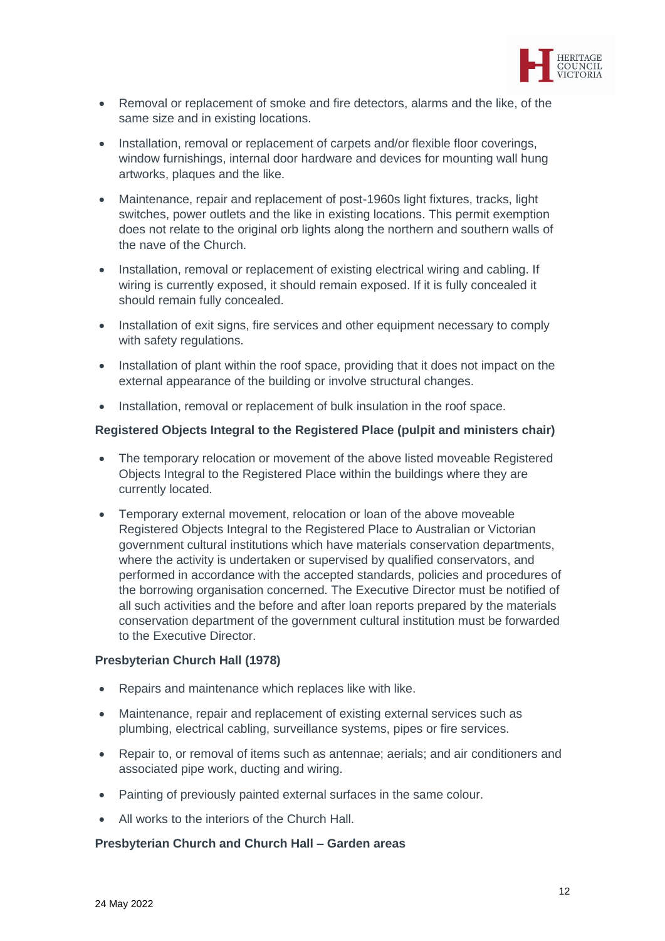

- Removal or replacement of smoke and fire detectors, alarms and the like, of the same size and in existing locations.
- Installation, removal or replacement of carpets and/or flexible floor coverings, window furnishings, internal door hardware and devices for mounting wall hung artworks, plaques and the like.
- Maintenance, repair and replacement of post-1960s light fixtures, tracks, light switches, power outlets and the like in existing locations. This permit exemption does not relate to the original orb lights along the northern and southern walls of the nave of the Church.
- Installation, removal or replacement of existing electrical wiring and cabling. If wiring is currently exposed, it should remain exposed. If it is fully concealed it should remain fully concealed.
- Installation of exit signs, fire services and other equipment necessary to comply with safety regulations.
- Installation of plant within the roof space, providing that it does not impact on the external appearance of the building or involve structural changes.
- Installation, removal or replacement of bulk insulation in the roof space.

## **Registered Objects Integral to the Registered Place (pulpit and ministers chair)**

- The temporary relocation or movement of the above listed moveable Registered Objects Integral to the Registered Place within the buildings where they are currently located.
- Temporary external movement, relocation or loan of the above moveable Registered Objects Integral to the Registered Place to Australian or Victorian government cultural institutions which have materials conservation departments, where the activity is undertaken or supervised by qualified conservators, and performed in accordance with the accepted standards, policies and procedures of the borrowing organisation concerned. The Executive Director must be notified of all such activities and the before and after loan reports prepared by the materials conservation department of the government cultural institution must be forwarded to the Executive Director.

## **Presbyterian Church Hall (1978)**

- Repairs and maintenance which replaces like with like.
- Maintenance, repair and replacement of existing external services such as plumbing, electrical cabling, surveillance systems, pipes or fire services.
- Repair to, or removal of items such as antennae; aerials; and air conditioners and associated pipe work, ducting and wiring.
- Painting of previously painted external surfaces in the same colour.
- All works to the interiors of the Church Hall.

## **Presbyterian Church and Church Hall – Garden areas**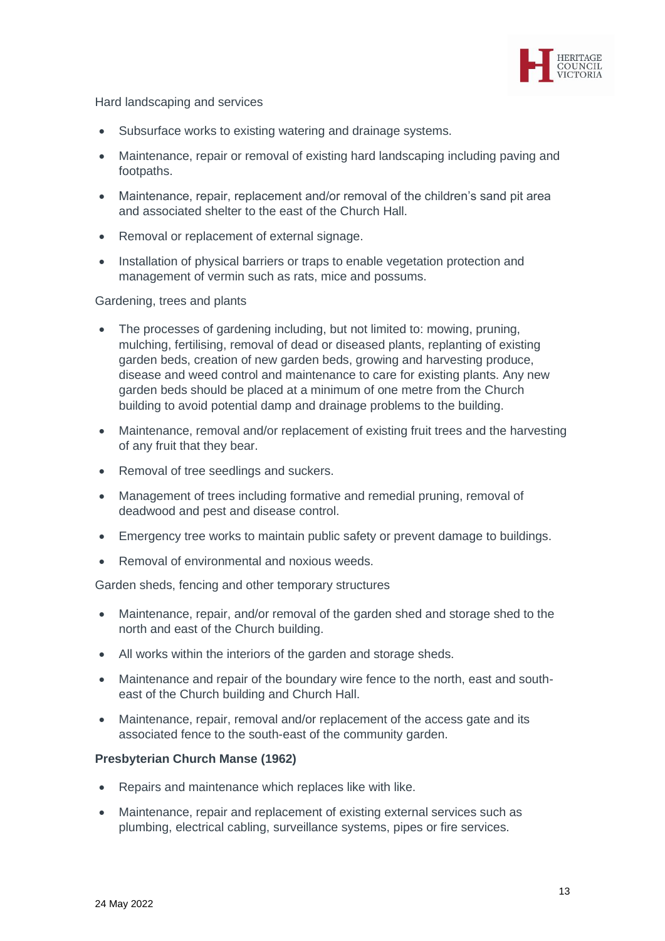

Hard landscaping and services

- Subsurface works to existing watering and drainage systems.
- Maintenance, repair or removal of existing hard landscaping including paving and footpaths.
- Maintenance, repair, replacement and/or removal of the children's sand pit area and associated shelter to the east of the Church Hall.
- Removal or replacement of external signage.
- Installation of physical barriers or traps to enable vegetation protection and management of vermin such as rats, mice and possums.

## Gardening, trees and plants

- The processes of gardening including, but not limited to: mowing, pruning, mulching, fertilising, removal of dead or diseased plants, replanting of existing garden beds, creation of new garden beds, growing and harvesting produce, disease and weed control and maintenance to care for existing plants. Any new garden beds should be placed at a minimum of one metre from the Church building to avoid potential damp and drainage problems to the building.
- Maintenance, removal and/or replacement of existing fruit trees and the harvesting of any fruit that they bear.
- Removal of tree seedlings and suckers.
- Management of trees including formative and remedial pruning, removal of deadwood and pest and disease control.
- Emergency tree works to maintain public safety or prevent damage to buildings.
- Removal of environmental and noxious weeds.

Garden sheds, fencing and other temporary structures

- Maintenance, repair, and/or removal of the garden shed and storage shed to the north and east of the Church building.
- All works within the interiors of the garden and storage sheds.
- Maintenance and repair of the boundary wire fence to the north, east and southeast of the Church building and Church Hall.
- Maintenance, repair, removal and/or replacement of the access gate and its associated fence to the south-east of the community garden.

## **Presbyterian Church Manse (1962)**

- Repairs and maintenance which replaces like with like.
- Maintenance, repair and replacement of existing external services such as plumbing, electrical cabling, surveillance systems, pipes or fire services.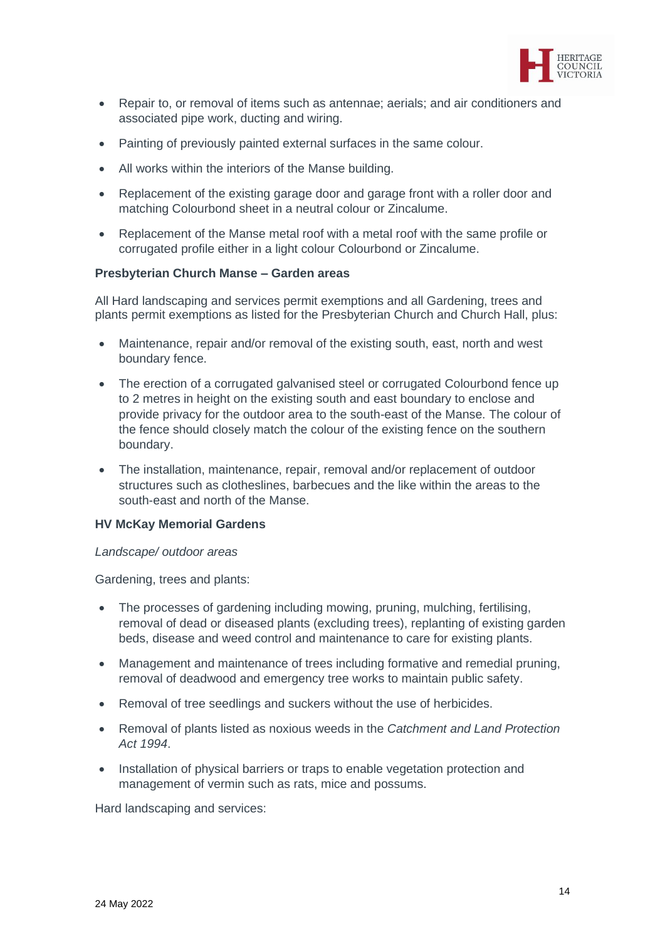

- Repair to, or removal of items such as antennae; aerials; and air conditioners and associated pipe work, ducting and wiring.
- Painting of previously painted external surfaces in the same colour.
- All works within the interiors of the Manse building.
- Replacement of the existing garage door and garage front with a roller door and matching Colourbond sheet in a neutral colour or Zincalume.
- Replacement of the Manse metal roof with a metal roof with the same profile or corrugated profile either in a light colour Colourbond or Zincalume.

#### **Presbyterian Church Manse – Garden areas**

All Hard landscaping and services permit exemptions and all Gardening, trees and plants permit exemptions as listed for the Presbyterian Church and Church Hall, plus:

- Maintenance, repair and/or removal of the existing south, east, north and west boundary fence.
- The erection of a corrugated galvanised steel or corrugated Colourbond fence up to 2 metres in height on the existing south and east boundary to enclose and provide privacy for the outdoor area to the south-east of the Manse. The colour of the fence should closely match the colour of the existing fence on the southern boundary.
- The installation, maintenance, repair, removal and/or replacement of outdoor structures such as clotheslines, barbecues and the like within the areas to the south-east and north of the Manse.

#### **HV McKay Memorial Gardens**

#### *Landscape/ outdoor areas*

Gardening, trees and plants:

- The processes of gardening including mowing, pruning, mulching, fertilising, removal of dead or diseased plants (excluding trees), replanting of existing garden beds, disease and weed control and maintenance to care for existing plants.
- Management and maintenance of trees including formative and remedial pruning, removal of deadwood and emergency tree works to maintain public safety.
- Removal of tree seedlings and suckers without the use of herbicides.
- Removal of plants listed as noxious weeds in the *Catchment and Land Protection Act 1994*.
- Installation of physical barriers or traps to enable vegetation protection and management of vermin such as rats, mice and possums.

Hard landscaping and services: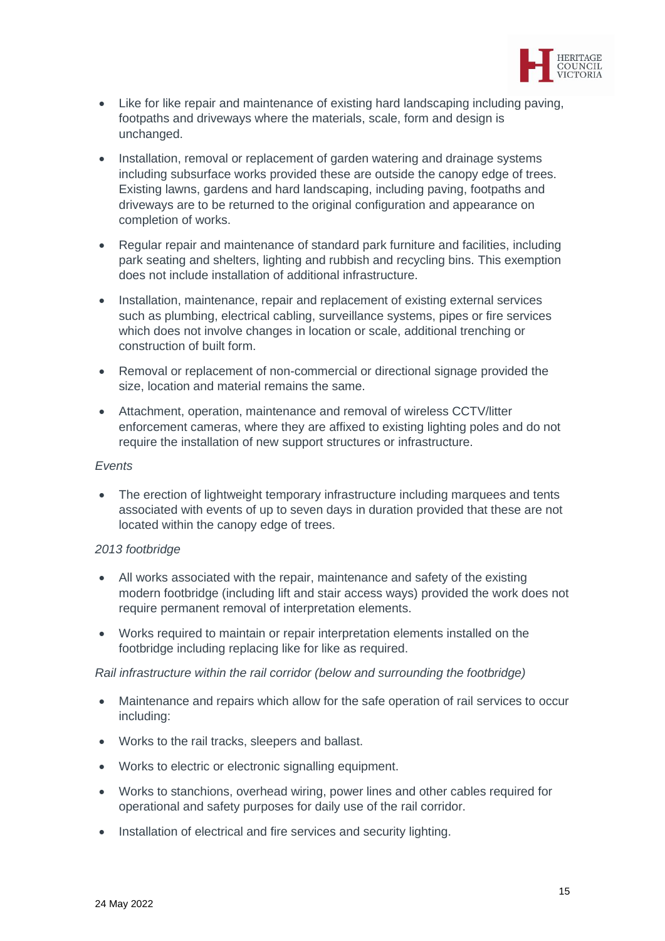

- Like for like repair and maintenance of existing hard landscaping including paving, footpaths and driveways where the materials, scale, form and design is unchanged.
- Installation, removal or replacement of garden watering and drainage systems including subsurface works provided these are outside the canopy edge of trees. Existing lawns, gardens and hard landscaping, including paving, footpaths and driveways are to be returned to the original configuration and appearance on completion of works.
- Regular repair and maintenance of standard park furniture and facilities, including park seating and shelters, lighting and rubbish and recycling bins. This exemption does not include installation of additional infrastructure.
- Installation, maintenance, repair and replacement of existing external services such as plumbing, electrical cabling, surveillance systems, pipes or fire services which does not involve changes in location or scale, additional trenching or construction of built form.
- Removal or replacement of non-commercial or directional signage provided the size, location and material remains the same.
- Attachment, operation, maintenance and removal of wireless CCTV/litter enforcement cameras, where they are affixed to existing lighting poles and do not require the installation of new support structures or infrastructure.

#### *Events*

• The erection of lightweight temporary infrastructure including marquees and tents associated with events of up to seven days in duration provided that these are not located within the canopy edge of trees.

## *2013 footbridge*

- All works associated with the repair, maintenance and safety of the existing modern footbridge (including lift and stair access ways) provided the work does not require permanent removal of interpretation elements.
- Works required to maintain or repair interpretation elements installed on the footbridge including replacing like for like as required.

*Rail infrastructure within the rail corridor (below and surrounding the footbridge)*

- Maintenance and repairs which allow for the safe operation of rail services to occur including:
- Works to the rail tracks, sleepers and ballast.
- Works to electric or electronic signalling equipment.
- Works to stanchions, overhead wiring, power lines and other cables required for operational and safety purposes for daily use of the rail corridor.
- Installation of electrical and fire services and security lighting.